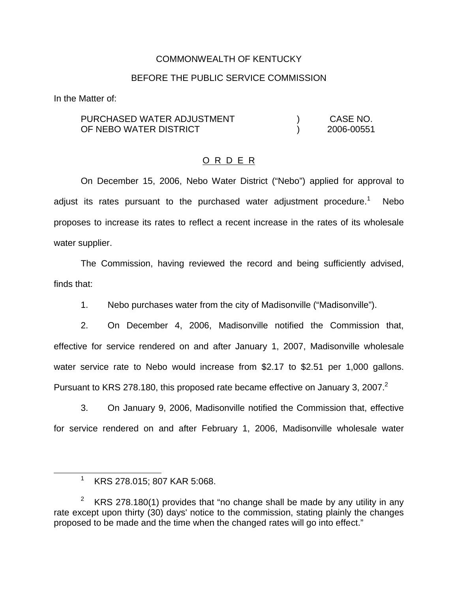### COMMONWEALTH OF KENTUCKY

### BEFORE THE PUBLIC SERVICE COMMISSION

In the Matter of:

PURCHASED WATER ADJUSTMENT OF NEBO WATER DISTRICT ) CASE NO. ) 2006-00551

## O R D E R

On December 15, 2006, Nebo Water District ("Nebo") applied for approval to adjust its rates pursuant to the purchased water adjustment procedure.<sup>1</sup> Nebo proposes to increase its rates to reflect a recent increase in the rates of its wholesale water supplier.

The Commission, having reviewed the record and being sufficiently advised, finds that:

1. Nebo purchases water from the city of Madisonville ("Madisonville").

2. On December 4, 2006, Madisonville notified the Commission that, effective for service rendered on and after January 1, 2007, Madisonville wholesale water service rate to Nebo would increase from \$2.17 to \$2.51 per 1,000 gallons. Pursuant to KRS 278.180, this proposed rate became effective on January 3, 2007.<sup>2</sup>

3. On January 9, 2006, Madisonville notified the Commission that, effective for service rendered on and after February 1, 2006, Madisonville wholesale water

<sup>1</sup> KRS 278.015; 807 KAR 5:068.

<sup>&</sup>lt;sup>2</sup> KRS 278.180(1) provides that "no change shall be made by any utility in any rate except upon thirty (30) days' notice to the commission, stating plainly the changes proposed to be made and the time when the changed rates will go into effect."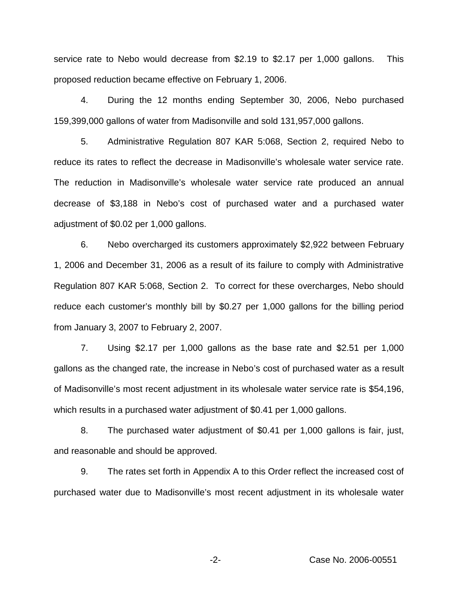service rate to Nebo would decrease from \$2.19 to \$2.17 per 1,000 gallons. This proposed reduction became effective on February 1, 2006.

4. During the 12 months ending September 30, 2006, Nebo purchased 159,399,000 gallons of water from Madisonville and sold 131,957,000 gallons.

5. Administrative Regulation 807 KAR 5:068, Section 2, required Nebo to reduce its rates to reflect the decrease in Madisonville's wholesale water service rate. The reduction in Madisonville's wholesale water service rate produced an annual decrease of \$3,188 in Nebo's cost of purchased water and a purchased water adjustment of \$0.02 per 1,000 gallons.

6. Nebo overcharged its customers approximately \$2,922 between February 1, 2006 and December 31, 2006 as a result of its failure to comply with Administrative Regulation 807 KAR 5:068, Section 2. To correct for these overcharges, Nebo should reduce each customer's monthly bill by \$0.27 per 1,000 gallons for the billing period from January 3, 2007 to February 2, 2007.

7. Using \$2.17 per 1,000 gallons as the base rate and \$2.51 per 1,000 gallons as the changed rate, the increase in Nebo's cost of purchased water as a result of Madisonville's most recent adjustment in its wholesale water service rate is \$54,196, which results in a purchased water adjustment of \$0.41 per 1,000 gallons.

8. The purchased water adjustment of \$0.41 per 1,000 gallons is fair, just, and reasonable and should be approved.

9. The rates set forth in Appendix A to this Order reflect the increased cost of purchased water due to Madisonville's most recent adjustment in its wholesale water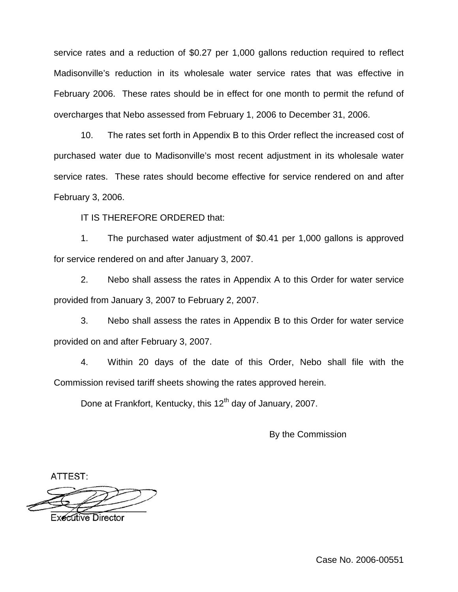service rates and a reduction of \$0.27 per 1,000 gallons reduction required to reflect Madisonville's reduction in its wholesale water service rates that was effective in February 2006. These rates should be in effect for one month to permit the refund of overcharges that Nebo assessed from February 1, 2006 to December 31, 2006.

10. The rates set forth in Appendix B to this Order reflect the increased cost of purchased water due to Madisonville's most recent adjustment in its wholesale water service rates. These rates should become effective for service rendered on and after February 3, 2006.

IT IS THEREFORE ORDERED that:

1. The purchased water adjustment of \$0.41 per 1,000 gallons is approved for service rendered on and after January 3, 2007.

2. Nebo shall assess the rates in Appendix A to this Order for water service provided from January 3, 2007 to February 2, 2007.

3. Nebo shall assess the rates in Appendix B to this Order for water service provided on and after February 3, 2007.

4. Within 20 days of the date of this Order, Nebo shall file with the Commission revised tariff sheets showing the rates approved herein.

Done at Frankfort, Kentucky, this 12<sup>th</sup> day of January, 2007.

By the Commission

ATTEST:

Executive Director

Case No. 2006-00551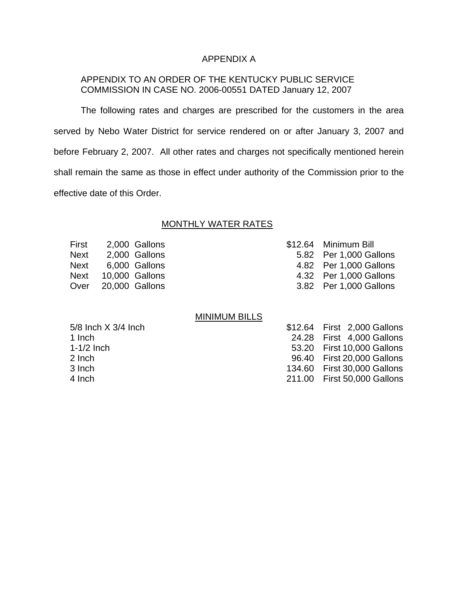# APPENDIX A

# APPENDIX TO AN ORDER OF THE KENTUCKY PUBLIC SERVICE COMMISSION IN CASE NO. 2006-00551 DATED January 12, 2007

The following rates and charges are prescribed for the customers in the area served by Nebo Water District for service rendered on or after January 3, 2007 and before February 2, 2007. All other rates and charges not specifically mentioned herein shall remain the same as those in effect under authority of the Commission prior to the effective date of this Order.

### MONTHLY WATER RATES

| First |                     | 2,000 Gallons | \$12.64 Minimum Bill   |
|-------|---------------------|---------------|------------------------|
| Next  |                     | 2,000 Gallons | 5.82 Per 1,000 Gallons |
|       | Next 6,000 Gallons  |               | 4.82 Per 1,000 Gallons |
|       | Next 10,000 Gallons |               | 4.32 Per 1,000 Gallons |
|       | Over 20,000 Gallons |               | 3.82 Per 1,000 Gallons |
|       |                     |               |                        |

#### MINIMUM BILLS

| $5/8$ lnch $X$ 3/4 lnch | \$12.64 First 2,000 Gallons |
|-------------------------|-----------------------------|
| 1 Inch                  | 24.28 First 4,000 Gallons   |
| $1-1/2$ Inch            | 53.20 First 10,000 Gallons  |
| 2 Inch                  | 96.40 First 20,000 Gallons  |
| 3 Inch                  | 134.60 First 30,000 Gallons |
| 4 Inch                  | 211.00 First 50,000 Gallons |
|                         |                             |